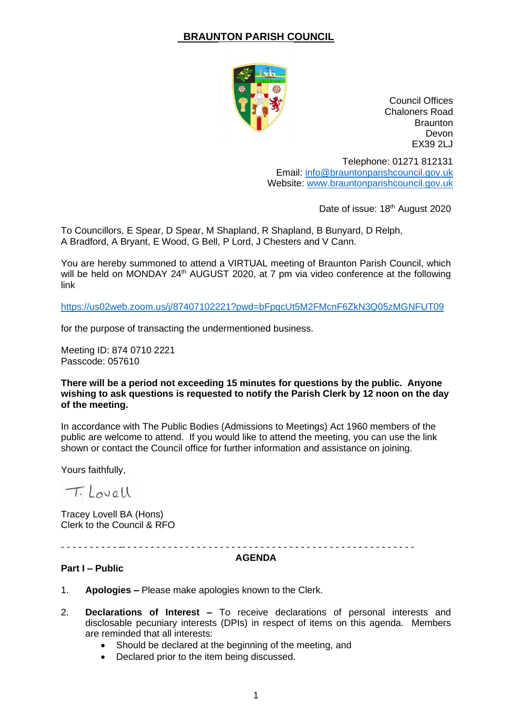# **BRAUNTON PARISH COUNCIL**



Council Offices Chaloners Road **Braunton** Devon EX39 2LJ

Telephone: 01271 812131 Email: [info@brauntonparishcouncil.gov.uk](mailto:info@brauntonparishcouncil.gov.uk) Website: [www.brauntonparishcouncil.gov.uk](http://www.brauntonparishcouncil.gov.uk/)

Date of issue: 18<sup>th</sup> August 2020

To Councillors, E Spear, D Spear, M Shapland, R Shapland, B Bunyard, D Relph, A Bradford, A Bryant, E Wood, G Bell, P Lord, J Chesters and V Cann.

You are hereby summoned to attend a VIRTUAL meeting of Braunton Parish Council, which will be held on MONDAY 24<sup>th</sup> AUGUST 2020, at 7 pm via video conference at the following link

<https://us02web.zoom.us/j/87407102221?pwd=bFpqcUt5M2FMcnF6ZkN3Q05zMGNFUT09>

for the purpose of transacting the undermentioned business.

Meeting ID: 874 0710 2221 Passcode: 057610

### **There will be a period not exceeding 15 minutes for questions by the public. Anyone wishing to ask questions is requested to notify the Parish Clerk by 12 noon on the day of the meeting.**

In accordance with The Public Bodies (Admissions to Meetings) Act 1960 members of the public are welcome to attend. If you would like to attend the meeting, you can use the link shown or contact the Council office for further information and assistance on joining.

Yours faithfully,

Tilovall

Tracey Lovell BA (Hons) Clerk to the Council & RFO

- - - - - - - - - - -- - - - - - - - - - - - - - - - - - - - - - - - - - - - - - - - - - - - - - - - - - - - - - - - - - -

#### **AGENDA**

## **Part I – Public**

- 1. **Apologies –** Please make apologies known to the Clerk.
- 2. **Declarations of Interest –** To receive declarations of personal interests and disclosable pecuniary interests (DPIs) in respect of items on this agenda. Members are reminded that all interests:
	- Should be declared at the beginning of the meeting, and
	- Declared prior to the item being discussed.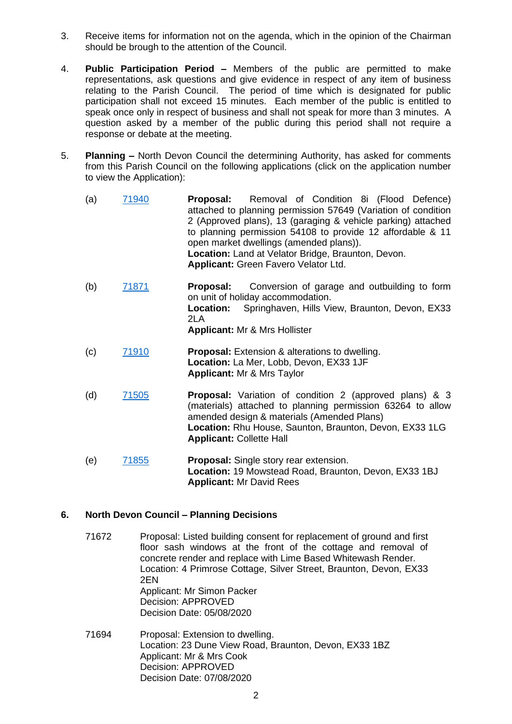- 3. Receive items for information not on the agenda, which in the opinion of the Chairman should be brough to the attention of the Council.
- 4. **Public Participation Period –** Members of the public are permitted to make representations, ask questions and give evidence in respect of any item of business relating to the Parish Council. The period of time which is designated for public participation shall not exceed 15 minutes. Each member of the public is entitled to speak once only in respect of business and shall not speak for more than 3 minutes. A question asked by a member of the public during this period shall not require a response or debate at the meeting.
- 5. **Planning –** North Devon Council the determining Authority, has asked for comments from this Parish Council on the following applications (click on the application number to view the Application):
	- (a) [71940](https://planning.northdevon.gov.uk/Planning/Display/71940) **Proposal:** Removal of Condition 8i (Flood Defence) attached to planning permission 57649 (Variation of condition 2 (Approved plans), 13 (garaging & vehicle parking) attached to planning permission 54108 to provide 12 affordable & 11 open market dwellings (amended plans)). **Location:** Land at Velator Bridge, Braunton, Devon. **Applicant:** Green Favero Velator Ltd.
	- (b) [71871](https://planning.northdevon.gov.uk/Planning/Display/71871) **Proposal:** Conversion of garage and outbuilding to form on unit of holiday accommodation. **Location:** Springhaven, Hills View, Braunton, Devon, EX33  $2I$ A **Applicant:** Mr & Mrs Hollister
	- (c) [71910](https://planning.northdevon.gov.uk/Planning/Display/71910) **Proposal:** Extension & alterations to dwelling. **Location:** La Mer, Lobb, Devon, EX33 1JF **Applicant:** Mr & Mrs Taylor
	- (d) [71505](https://planning.northdevon.gov.uk/Planning/Display/71505) **Proposal:** Variation of condition 2 (approved plans) & 3 (materials) attached to planning permission 63264 to allow amended design & materials (Amended Plans) **Location:** Rhu House, Saunton, Braunton, Devon, EX33 1LG **Applicant:** Collette Hall
	- (e) [71855](https://planning.northdevon.gov.uk/Planning/Display/71855) **Proposal:** Single story rear extension. **Location:** 19 Mowstead Road, Braunton, Devon, EX33 1BJ **Applicant:** Mr David Rees

## **6. North Devon Council – Planning Decisions**

- 71672 Proposal: Listed building consent for replacement of ground and first floor sash windows at the front of the cottage and removal of concrete render and replace with Lime Based Whitewash Render. Location: 4 Primrose Cottage, Silver Street, Braunton, Devon, EX33 2EN Applicant: Mr Simon Packer Decision: APPROVED Decision Date: 05/08/2020
- 71694 Proposal: Extension to dwelling. Location: 23 Dune View Road, Braunton, Devon, EX33 1BZ Applicant: Mr & Mrs Cook Decision: APPROVED Decision Date: 07/08/2020